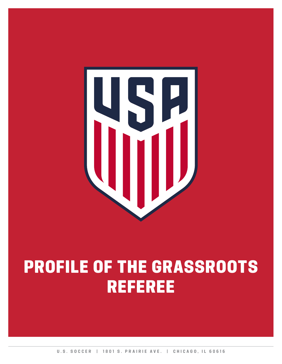

# PROFILE OF THE GRASSROOTS REFEREE

**U.S. SOCCER | 1801 S. PRAIRIE AVE. | CHICAGO, IL 60616**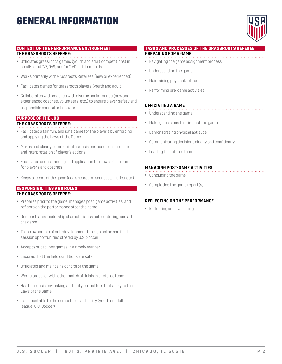

#### CONTEXT OF THE PERFORMANCE ENVIRONMENT

#### **THE GRASSROOTS REFEREE:**

- Officiates grassroots games (youth and adult competitions) in small-sided 7v7, 9v9, and/or 11v11 outdoor fields
- Works primarily with Grassroots Referees (new or experienced)
- Facilitates games for grassroots players (youth and adult)
- Collaborates with coaches with diverse backgrounds (new and experienced coaches, volunteers, etc.) to ensure player safety and responsible spectator behavior

#### PURPOSE OF THE JOB

### **THE GRASSROOTS REFEREE:**

- Facilitates a fair, fun, and safe game for the players by enforcing and applying the Laws of the Game
- Makes and clearly communicates decisions based on perception and interpretation of player's actions
- Facilitates understanding and application the Laws of the Game for players and coaches
- Keeps a record of the game (goals scored, misconduct, injuries, etc.)

# RESPONSIBILITIES AND ROLES

# **THE GRASSROOTS REFEREE:**

- Prepares prior to the game, manages post-game activities, and reflects on the performance after the game
- Demonstrates leadership characteristics before, during, and after the game
- Takes ownership of self-development through online and field session opportunities offered by U.S. Soccer
- Accepts or declines games in a timely manner
- Ensures that the field conditions are safe
- Officiates and maintains control of the game
- Works together with other match officials in a referee team
- Has final decision-making authority on matters that apply to the Laws of the Game
- Is accountable to the competition authority (youth or adult league, U.S. Soccer)

#### TASKS AND PROCESSES OF THE GRASSROOTS REFEREE

### **PREPARING FOR A GAME**

- Navigating the game assignment process
- Understanding the game
- Maintaining physical aptitude
- Performing pre-game activities

#### **OFFICIATING A GAME**

- Understanding the game
- Making decisions that impact the game
- Demonstrating physical aptitude
- Communicating decisions clearly and confidently
- Leading the referee team

### **MANAGING POST-GAME ACTIVITIES**

- Concluding the game
- Completing the game report(s)

#### **REFLECTING ON THE PERFORMANCE**

• Reflecting and evaluating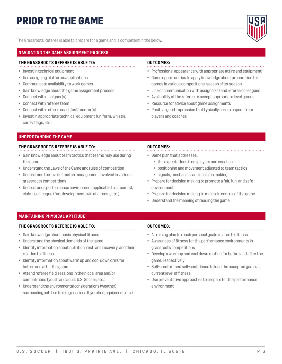# PRIOR TO THE GAME



The Grassroots Referee is able to prepare for a game and is competent in the below.

# **NAVIGATING THE GAME ASSIGNMENT PROCESS**

### **THE GRASSROOTS REFEREE IS ABLE TO:**

- Invest in technical equipment
- Use assigning platforms/applications
- Communicate availability to work games
- Gain knowledge about the game assignment process
- Connect with assignor(s)
- Connect with referee team
- Connect with referee coach(es)/mentor(s)
- Invest in appropriate technical equipment (uniform, whistle, cards, flags, etc.)

# **OUTCOMES:**

- Professional appearance with appropriate attire and equipment
- Game opportunities to apply knowledge about preparation for games in various competitions, season after season
- Line of communication with assignor(s) and referee colleagues
- Availability of the referee to accept appropriate level games
- Resource for advice about game assignments
- Positive good impression that typically earns respect from players and coaches

#### **UNDERSTANDING THE GAME**

#### **THE GRASSROOTS REFEREE IS ABLE TO:**

- Gain knowledge about team tactics that teams may use during the game
- Understand the Laws of the Game and rules of competition
- Understand the level of match management involved in various grassroots competitions
- Understands performance environment applicable to a team(s), club(s), or league (fun, development, win at all cost, etc.)

### **OUTCOMES:**

- Game plan that addresses:
	- the expectations from players and coaches
	- positioning and movement adjusted to team tactics
	- signals, mechanics, and decision making
- Prepare for decision making to promote a fair, fun, and safe environment
- Prepare for decision making to maintain control of the game
- Understand the meaning of reading the game

# **MAINTAINING PHYSICAL APTITUDE**

# **THE GRASSROOTS REFEREE IS ABLE TO:**

- Gain knowledge about basic physical fitness
- Understand the physical demands of the game
- Identify information about nutrition, rest, and recovery, and their relation to fitness
- Identify information about warm up and cool down drills for before and after the game
- Attend referee field sessions in their local area and/or competitions (youth and adult, U.S. Soccer, etc.)
- Understand the environmental considerations (weather) surrounding outdoor training sessions (hydration, equipment, etc.)

- A training plan to reach personal goals related to fitness
- Awareness of fitness for the performance environments in grassroots competitions
- Develop a warmup and cool down routine for before and after the game, respectively
- Self-comfort and self-confidence to lead the accepted game at current level of fitness
- Use preventative approaches to prepare for the performance environment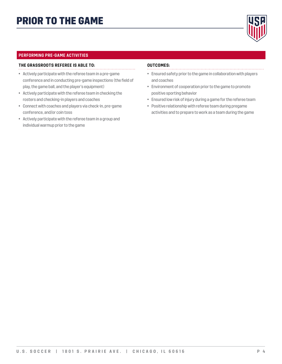

# **PERFORMING PRE-GAME ACTIVITIES**

### **THE GRASSROOTS REFEREE IS ABLE TO:**

- Actively participate with the referee team in a pre-game conference and in conducting pre-game inspections (the field of play, the game ball, and the player's equipment)
- Actively participate with the referee team in checking the rosters and checking-in players and coaches
- Connect with coaches and players via check-in, pre-game conference, and/or coin toss
- Actively participate with the referee team in a group and individual warmup prior to the game

- 
- Ensured safety prior to the game in collaboration with players and coaches
- Environment of cooperation prior to the game to promote positive sporting behavior
- Ensured low risk of injury during a game for the referee team
- Positive relationship with referee team during pregame activities and to prepare to work as a team during the game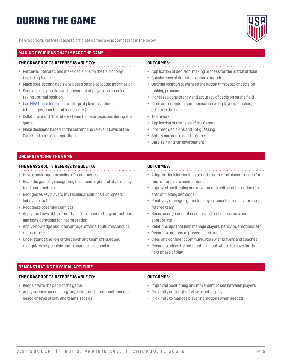

The Grassroots Referee is able to officiate games and is competent in the below.

# **MAKING DECISIONS THAT IMPACT THE GAME**

### **THE GRASSROOTS REFEREE IS ABLE TO:**

- Perceive, interpret, and make decisions on the field of play (including fouls)
- Make split-second decisions based on the collected information
- Scan and use position and movement of players as cues for taking optimal position
- Use [FIFA Considerations](https://ussoccer.app.box.com/s/u7o23m7vxgt5gdq9adsxgw0o9wlqcddm/file/248910311617) to interpret players' actions (challenges, handball, offenses, etc.)
- Collaborate with the referee team to make decisions during the game
- Make decisions based on the current and relevant Laws of the Game and rules of competition

# **OUTCOMES:**

- Application of decision-making process for the match official
- Consistency of decisions during a match
- Optimal position to witness the action (first step of decisionmaking process)
- Increased consistency and accuracy of decision on the field
- Clear and confident communication with players, coaches, others in the field
- Teamwork
- Application of the Laws of the Game
- Informed decisions and not guessing
- Safety and control of the game
- Safe, fair, and fun environment

# **UNDERSTANDING THE GAME**

### **THE GRASSROOTS REFEREE IS ABLE TO:**

- Have a basic understanding of team tactics
- Read the game by recognizing each team's general style of play (and team tactics)
- Recognizes key players (by technical skill, position, speed, behavior, etc.)
- Recognize potential conflicts
- Apply the Laws of the Game based on observed players' actions and considerations for interpretation
- Apply knowledge about advantage, offside, fouls, misconduct, restarts, etc.
- Understands the role of the coach and team officials and recognizes responsible and irresponsible behavior

# **OUTCOMES:**

- Adapted decision-making to fit the game and players' needs for fair, fun, and safe environment
- Improved positioning and movement to witness the action (first step of making decision)
- Positively managed game for players, coaches, spectators, and referee team
- Basic management of coaches and technical area where appropriate
- Relationships that help manage players' behavior, emotions, etc.
- Recognize actions to prevent escalation
- Clear and confident communication with players and coaches
- Recognize clues for anticipation about where to move for the next phase of play

# **DEMONSTRATING PHYSICAL APTITUDE**

# **THE GRASSROOTS REFEREE IS ABLE TO:**

- Keep up with the pace of the game
- Apply various speeds (jog/run/sprint) and directional changes based on level of play and teams' tactics

- Improved positioning and movement to see between players
- Proximity and angle of view to active play
- Proximity to manage players' emotions when needed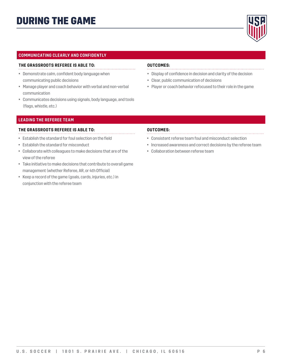

# **COMMUNICATING CLEARLY AND CONFIDENTLY**

#### **THE GRASSROOTS REFEREE IS ABLE TO:**

- Demonstrate calm, confident body language when
- communicating public decisions
- Manage player and coach behavior with verbal and non-verbal communication
- Communicates decisions using signals, body language, and tools (flags, whistle, etc.)

#### **OUTCOMES:**

- 
- Display of confidence in decision and clarity of the decision
- Clear, public communication of decisions
- Player or coach behavior refocused to their role in the game

# **LEADING THE REFEREE TEAM**

#### **THE GRASSROOTS REFEREE IS ABLE TO:**

- Establish the standard for foul selection on the field
- Establish the standard for misconduct
- Collaborate with colleagues to make decisions that are of the view of the referee
- Take initiative to make decisions that contribute to overall game management (whether Referee, AR, or 4th Official)
- Keep a record of the game (goals, cards, injuries, etc.) in conjunction with the referee team

- Consistent referee team foul and misconduct selection
- Increased awareness and correct decisions by the referee team
- Collaboration between referee team